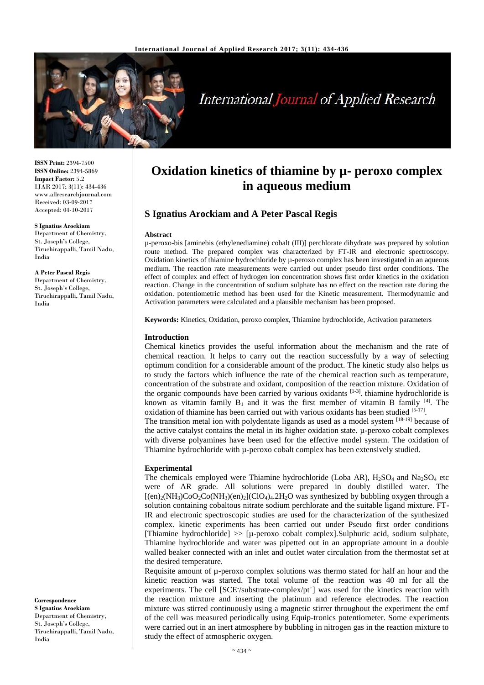

# **International Journal of Applied Research**

**ISSN Print:** 2394-7500 **ISSN Online:** 2394-5869 **Impact Factor:** 5.2 IJAR 2017; 3(11): 434-436 www.allresearchjournal.com Received: 03-09-2017 Accepted: 04-10-2017

#### **S Ignatius Arockiam**

Department of Chemistry, St. Joseph's College, Tiruchirappalli, Tamil Nadu, India

**A Peter Pascal Regis** Department of Chemistry, St. Joseph's College, Tiruchirappalli, Tamil Nadu,

India

**Correspondence S Ignatius Arockiam** Department of Chemistry, St. Joseph's College, Tiruchirappalli, Tamil Nadu, India

# **Oxidation kinetics of thiamine by µ- peroxo complex in aqueous medium**

# **S Ignatius Arockiam and A Peter Pascal Regis**

#### **Abstract**

µ-peroxo-bis [aminebis (ethylenediamine) cobalt (III)] perchlorate dihydrate was prepared by solution route method. The prepared complex was characterized by FT-IR and electronic spectroscopy. Oxidation kinetics of thiamine hydrochloride by µ-peroxo complex has been investigated in an aqueous medium. The reaction rate measurements were carried out under pseudo first order conditions. The effect of complex and effect of hydrogen ion concentration shows first order kinetics in the oxidation reaction. Change in the concentration of sodium sulphate has no effect on the reaction rate during the oxidation. potentiometric method has been used for the Kinetic measurement. Thermodynamic and Activation parameters were calculated and a plausible mechanism has been proposed.

**Keywords:** Kinetics, Oxidation, peroxo complex, Thiamine hydrochloride, Activation parameters

#### **Introduction**

Chemical kinetics provides the useful information about the mechanism and the rate of chemical reaction. It helps to carry out the reaction successfully by a way of selecting optimum condition for a considerable amount of the product. The kinetic study also helps us to study the factors which influence the rate of the chemical reaction such as temperature, concentration of the substrate and oxidant, composition of the reaction mixture. Oxidation of the organic compounds have been carried by various oxidants [1-3]. thiamine hydrochloride is known as vitamin family  $B_1$  and it was the first member of vitamin B family  $[4]$ . The oxidation of thiamine has been carried out with various oxidants has been studied [5-17].

The transition metal ion with polydentate ligands as used as a model system [18-19] because of the active catalyst contains the metal in its higher oxidation state. µ-peroxo cobalt complexes with diverse polyamines have been used for the effective model system. The oxidation of Thiamine hydrochloride with µ-peroxo cobalt complex has been extensively studied.

#### **Experimental**

The chemicals employed were Thiamine hydrochloride (Loba AR),  $H_2SO_4$  and Na<sub>2</sub>SO<sub>4</sub> etc were of AR grade. All solutions were prepared in doubly distilled water. The  $[(en)<sub>2</sub>(NH<sub>3</sub>)Co<sub>2</sub>Co(NH<sub>3</sub>)(en)<sub>2</sub>](ClO<sub>4</sub>)<sub>4</sub>.2H<sub>2</sub>O was synthesized by bubbleing oxygen through a$ solution containing cobaltous nitrate sodium perchlorate and the suitable ligand mixture. FT-IR and electronic spectroscopic studies are used for the characterization of the synthesized complex. kinetic experiments has been carried out under Pseudo first order conditions [Thiamine hydrochloride]  $\gg$  [µ-peroxo cobalt complex]. Sulphuric acid, sodium sulphate, Thiamine hydrochloride and water was pipetted out in an appropriate amount in a double walled beaker connected with an inlet and outlet water circulation from the thermostat set at the desired temperature.

Requisite amount of  $\mu$ -peroxo complex solutions was thermo stated for half an hour and the kinetic reaction was started. The total volume of the reaction was 40 ml for all the experiments. The cell [SCE /substrate-complex/pt<sup>+</sup>] was used for the kinetics reaction with the reaction mixture and inserting the platinum and reference electrodes. The reaction mixture was stirred continuously using a magnetic stirrer throughout the experiment the emf of the cell was measured periodically using Equip-tronics potentiometer. Some experiments were carried out in an inert atmosphere by bubbling in nitrogen gas in the reaction mixture to study the effect of atmospheric oxygen.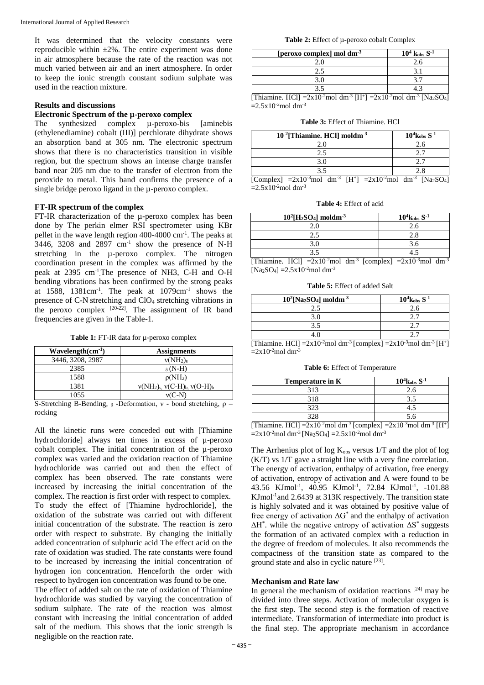It was determined that the velocity constants were reproducible within  $\pm 2\%$ . The entire experiment was done in air atmosphere because the rate of the reaction was not much varied between air and an inert atmosphere. In order to keep the ionic strength constant sodium sulphate was used in the reaction mixture.

# **Results and discussions**

# **Electronic Spectrum of the µ-peroxo complex**

The synthesized complex  $\mu$ -peroxo-bis [aminebis (ethylenediamine) cobalt (III)] perchlorate dihydrate shows an absorption band at 305 nm. The electronic spectrum shows that there is no characteristics transition in visible region, but the spectrum shows an intense charge transfer band near 205 nm due to the transfer of electron from the peroxide to metal. This band confirms the presence of a single bridge peroxo ligand in the µ-peroxo complex.

#### **FT-IR spectrum of the complex**

FT-IR characterization of the µ-peroxo complex has been done by The perkin elmer RSI spectrometer using KBr pellet in the wave length region 400-4000 cm-1 . The peaks at 3446, 3208 and  $2897$  cm<sup>-1</sup> show the presence of N-H stretching in the µ-peroxo complex. The nitrogen coordination present in the complex was affirmed by the peak at 2395 cm-1 .The presence of NH3, C-H and O-H bending vibrations has been confirmed by the strong peaks at  $1588$ ,  $1381 \text{cm}^{-1}$ . The peak at  $1079 \text{cm}^{-1}$  shows the presence of C-N stretching and ClO<sup>4</sup> stretching vibrations in the peroxo complex  $[20-22]$ . The assignment of IR band frequencies are given in the Table-1.

**Table 1:** FT-IR data for µ-peroxo complex

| <b>Assignments</b>                          |
|---------------------------------------------|
| $v(NH_2)_s$                                 |
| $\delta$ (N-H)                              |
| $\rho(NH_2)$                                |
| $v(NH_2)_{s}$ , $v(C-H)_{b}$ , $v(O-H)_{b}$ |
| $v(C-N)$                                    |
|                                             |

S-Stretching B-Bending,  $\delta$ -Deformation, ν - bond stretching, ρ – rocking

All the kinetic runs were conceded out with [Thiamine hydrochloride] always ten times in excess of µ-peroxo cobalt complex. The initial concentration of the µ-peroxo complex was varied and the oxidation reaction of Thiamine hydrochloride was carried out and then the effect of complex has been observed. The rate constants were increased by increasing the initial concentration of the complex. The reaction is first order with respect to complex. To study the effect of [Thiamine hydrochloride], the oxidation of the substrate was carried out with different initial concentration of the substrate. The reaction is zero order with respect to substrate. By changing the initially added concentration of sulphuric acid The effect acid on the rate of oxidation was studied. The rate constants were found to be increased by increasing the initial concentration of hydrogen ion concentration. Henceforth the order with respect to hydrogen ion concentration was found to be one. The effect of added salt on the rate of oxidation of Thiamine hydrochloride was studied by varying the concentration of sodium sulphate. The rate of the reaction was almost constant with increasing the initial concentration of added salt of the medium. This shows that the ionic strength is negligible on the reaction rate.

**Table 2:** Effect of µ-peroxo cobalt Complex

| [peroxo complex] mol dm <sup>-3</sup> | $10^4$ kobs S <sup>-1</sup> |
|---------------------------------------|-----------------------------|
|                                       |                             |
|                                       |                             |
|                                       |                             |
|                                       |                             |

[Thiamine. HCl] =  $2x10^{-2}$ mol dm<sup>-3</sup> [H<sup>+</sup>] =  $2x10^{-2}$ mol dm<sup>-3</sup> [Na<sub>2</sub>SO<sub>4</sub>]  $=2.5x10^{-2}$ mol dm<sup>-3</sup>

**Table 3:** Effect of Thiamine. HCl

| $10^4$ <sub>kobs</sub> S <sup>-1</sup> |
|----------------------------------------|
| 2.6                                    |
|                                        |
|                                        |
|                                        |
|                                        |

[Complex] =2x10<sup>-3</sup>mol dm<sup>-3</sup> [H<sup>+</sup>] =2x10<sup>-2</sup>mol dm<sup>-3</sup> [Na<sub>2</sub>SO<sub>4</sub>]  $=2.5x10^{-2}$ mol dm<sup>-3</sup>

**Table 4:** Effect of acid

| $10^{2}$ [H <sub>2</sub> SO <sub>4</sub> ] moldm <sup>-3</sup> | $10^4$ <sub>kobs</sub> S <sup>-1</sup> |
|----------------------------------------------------------------|----------------------------------------|
|                                                                |                                        |
|                                                                |                                        |
|                                                                | 3.0                                    |
|                                                                |                                        |

[Thiamine. HCl]  $=2x10^{-2}$ mol dm<sup>-3</sup> [complex]  $=2x10^{-3}$ mol dm<sup>-3</sup>  $[Na_2SO_4] = 2.5x10^{-2}$ mol dm<sup>-3</sup>

**Table 5:** Effect of added Salt

| $10^2$ [Na <sub>2</sub> SO <sub>4</sub> ] moldm <sup>-3</sup>                                                | $10^4$ <sub>kobs</sub> S <sup>-1</sup> |
|--------------------------------------------------------------------------------------------------------------|----------------------------------------|
| 2.5                                                                                                          | 2.6                                    |
| 3.0                                                                                                          |                                        |
| ว ร                                                                                                          | 27                                     |
| 4.0                                                                                                          |                                        |
| [Thiamine HCl] $-2x10^{-2}$ moldm <sup>-3</sup> [complex] $-2x10^{-3}$ moldm <sup>-3</sup> [H <sup>+</sup> ] |                                        |

[Thiamine. HCl] =  $2x10^{-2}$  moldm<sup>-3</sup> [complex] =  $2x10^{-3}$  moldm<sup>-3</sup> [H<sup>+</sup>]  $=2x10^{-2}$ mol dm<sup>-3</sup>

**Table 6:** Effect of Temperature

| Temperature in K                                                                                                  | $10^4$ <sub>kobs</sub> S <sup>-1</sup> |  |
|-------------------------------------------------------------------------------------------------------------------|----------------------------------------|--|
| 313                                                                                                               | 2.6                                    |  |
| 318                                                                                                               | 3.5                                    |  |
| 323                                                                                                               | 4.5                                    |  |
| 328                                                                                                               | 5.6                                    |  |
| [Thiamine. HCl] = $2x10^{-2}$ mol dm <sup>-3</sup> [complex] = $2x10^{-3}$ mol dm <sup>-3</sup> [H <sup>+</sup> ] |                                        |  |

 $=2x10^{-2}$ mol dm<sup>-3</sup> [Na<sub>2</sub>SO<sub>4</sub>]  $=2.5x10^{-2}$ mol dm<sup>-3</sup>

The Arrhenius plot of log  $K_{obs}$  versus  $1/T$  and the plot of log (K/T) vs 1/T gave a straight line with a very fine correlation. The energy of activation, enthalpy of activation, free energy of activation, entropy of activation and A were found to be 43.56 KJmol-1 , 40.95 KJmol-1 , 72.84 KJmol-1 , -101.88 KJmol<sup>-1</sup> and 2.6439 at 313K respectively. The transition state is highly solvated and it was obtained by positive value of free energy of activation  $\Delta G^*$  and the enthalpy of activation  $\Delta H^*$ . while the negative entropy of activation  $\Delta S^*$  suggests the formation of an activated complex with a reduction in the degree of freedom of molecules. It also recommends the compactness of the transition state as compared to the ground state and also in cyclic nature [23].

### **Mechanism and Rate law**

In general the mechanism of oxidation reactions  $[24]$  may be divided into three steps. Activation of molecular oxygen is the first step. The second step is the formation of reactive intermediate. Transformation of intermediate into product is the final step. The appropriate mechanism in accordance